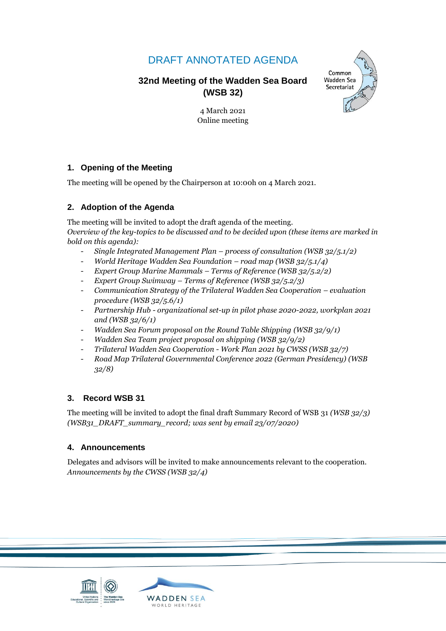# DRAFT ANNOTATED AGENDA

# **32nd Meeting of the Wadden Sea Board (WSB 32)**



4 March 2021 Online meeting

# **1. Opening of the Meeting**

The meeting will be opened by the Chairperson at 10:00h on 4 March 2021.

## **2. Adoption of the Agenda**

The meeting will be invited to adopt the draft agenda of the meeting. *Overview of the key-topics to be discussed and to be decided upon (these items are marked in bold on this agenda):*

- *Single Integrated Management Plan – process of consultation (WSB 32/5.1/2)*
- *World Heritage Wadden Sea Foundation – road map (WSB 32/5.1/4)*
- *Expert Group Marine Mammals – Terms of Reference (WSB 32/5.2/2)*
- *Expert Group Swimway – Terms of Reference (WSB 32/5.2/3)*
- *Communication Strategy of the Trilateral Wadden Sea Cooperation – evaluation procedure (WSB 32/5.6/1)*
- *Partnership Hub - organizational set-up in pilot phase 2020-2022, workplan 2021 and (WSB 32/6/1)*
- *Wadden Sea Forum proposal on the Round Table Shipping (WSB 32/9/1)*
- *Wadden Sea Team project proposal on shipping (WSB 32/9/2)*
- *Trilateral Wadden Sea Cooperation - Work Plan 2021 by CWSS (WSB 32/7)*
- *Road Map Trilateral Governmental Conference 2022 (German Presidency) (WSB 32/8)*

## **3. Record WSB 31**

The meeting will be invited to adopt the final draft Summary Record of WSB 31 *(WSB 32/3) (WSB31\_DRAFT\_summary\_record; was sent by email 23/07/2020)*

## **4. Announcements**

Delegates and advisors will be invited to make announcements relevant to the cooperation. *Announcements by the CWSS (WSB 32/4)*

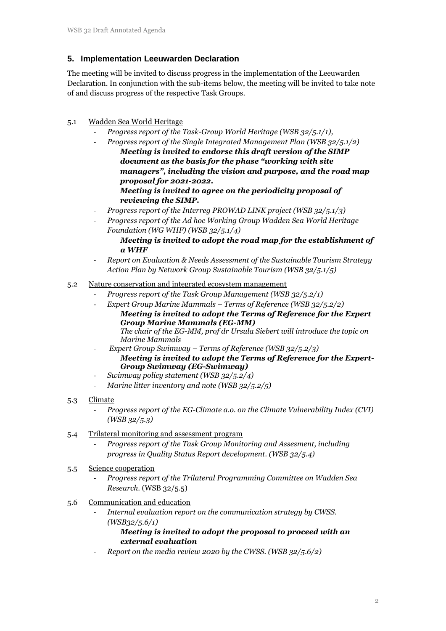# **5. Implementation Leeuwarden Declaration**

The meeting will be invited to discuss progress in the implementation of the Leeuwarden Declaration. In conjunction with the sub-items below, the meeting will be invited to take note of and discuss progress of the respective Task Groups.

## 5.1 Wadden Sea World Heritage

- *Progress report of the Task-Group World Heritage (WSB 32/5.1/1),*
- *Progress report of the Single Integrated Management Plan (WSB 32/5.1/2) Meeting is invited to endorse this draft version of the SIMP document as the basis for the phase "working with site managers", including the vision and purpose, and the road map proposal for 2021-2022. Meeting is invited to agree on the periodicity proposal of reviewing the SIMP.*
- *Progress report of the Interreg PROWAD LINK project (WSB 32/5.1/3)*
- *Progress report of the Ad hoc Working Group Wadden Sea World Heritage Foundation (WG WHF) (WSB 32/5.1/4)*
	- *Meeting is invited to adopt the road map for the establishment of a WHF*
- *Report on Evaluation & Needs Assessment of the Sustainable Tourism Strategy Action Plan by Network Group Sustainable Tourism (WSB 32/5.1/5)*

## 5.2 Nature conservation and integrated ecosystem management

- *Progress report of the Task Group Management (WSB 32/5.2/1)*
- *Expert Group Marine Mammals – Terms of Reference (WSB 32/5.2/2)* 
	- *Meeting is invited to adopt the Terms of Reference for the Expert Group Marine Mammals (EG-MM) The chair of the EG-MM, prof dr Ursula Siebert will introduce the topic on Marine Mammals*
- *Expert Group Swimway – Terms of Reference (WSB 32/5.2/3) Meeting is invited to adopt the Terms of Reference for the Expert-Group Swimway (EG-Swimway)*
- *Swimway policy statement (WSB 32/5.2/4)*
- *Marine litter inventory and note (WSB 32/5.2/5)*
- 5.3 Climate
	- *Progress report of the EG-Climate a.o. on the Climate Vulnerability Index (CVI) (WSB 32/5.3)*
- 5.4 Trilateral monitoring and assessment program
	- *Progress report of the Task Group Monitoring and Assesment, including progress in Quality Status Report development. (WSB 32/5.4)*
- 5.5 Science cooperation
	- *Progress report of the Trilateral Programming Committee on Wadden Sea Research*. (WSB 32/5.5)
- 5.6 Communication and education
	- *Internal evaluation report on the communication strategy by CWSS. (WSB32/5.6/1)*

## *Meeting is invited to adopt the proposal to proceed with an external evaluation*

- *Report on the media review 2020 by the CWSS. (WSB 32/5.6/2)*